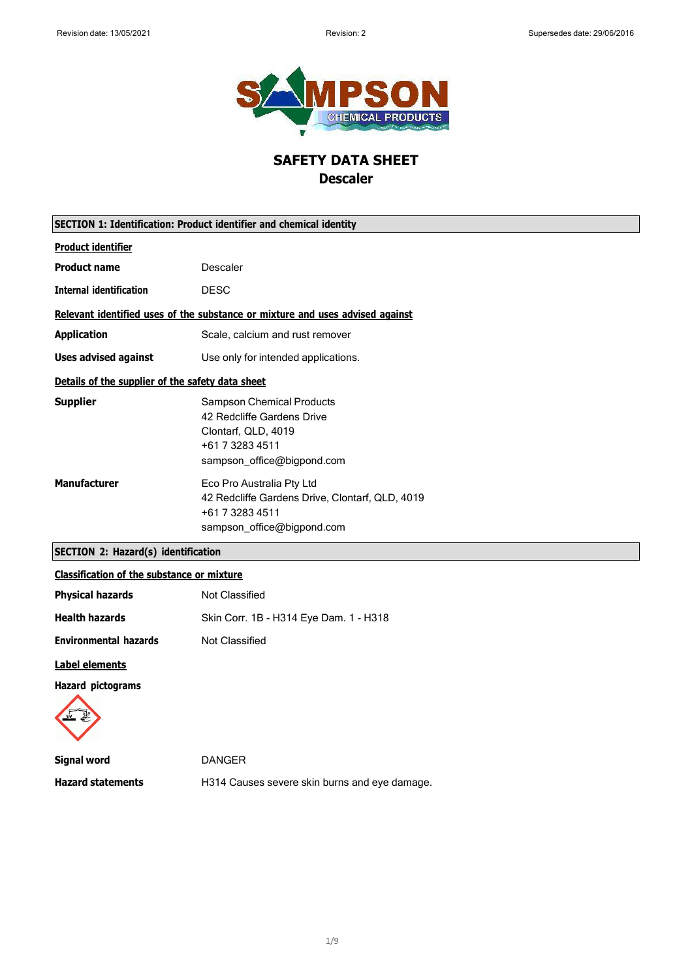

# **SAFETY DATA SHEET Descaler**

| SECTION 1: Identification: Product identifier and chemical identity           |                                                                                                                                        |  |
|-------------------------------------------------------------------------------|----------------------------------------------------------------------------------------------------------------------------------------|--|
| <b>Product identifier</b>                                                     |                                                                                                                                        |  |
| <b>Product name</b>                                                           | Descaler                                                                                                                               |  |
| <b>Internal identification</b>                                                | <b>DESC</b>                                                                                                                            |  |
| Relevant identified uses of the substance or mixture and uses advised against |                                                                                                                                        |  |
| <b>Application</b>                                                            | Scale, calcium and rust remover                                                                                                        |  |
| <b>Uses advised against</b>                                                   | Use only for intended applications.                                                                                                    |  |
| Details of the supplier of the safety data sheet                              |                                                                                                                                        |  |
| <b>Supplier</b>                                                               | <b>Sampson Chemical Products</b><br>42 Redcliffe Gardens Drive<br>Clontarf, QLD, 4019<br>+61 7 3283 4511<br>sampson_office@bigpond.com |  |
| <b>Manufacturer</b>                                                           | Eco Pro Australia Pty Ltd<br>42 Redcliffe Gardens Drive, Clontarf, QLD, 4019<br>+61 7 3283 4511<br>sampson_office@bigpond.com          |  |
| <b>SECTION 2: Hazard(s) identification</b>                                    |                                                                                                                                        |  |
| .                                                                             |                                                                                                                                        |  |

## **Classification of the substance or mixture**

| <b>Physical hazards</b>      | Not Classified                         |
|------------------------------|----------------------------------------|
| <b>Health hazards</b>        | Skin Corr. 1B - H314 Eye Dam. 1 - H318 |
| <b>Environmental hazards</b> | Not Classified                         |
| Label elements               |                                        |

### **Hazard pictograms**



**Signal word** DANGER **Hazard statements** H314 Causes severe skin burns and eye damage.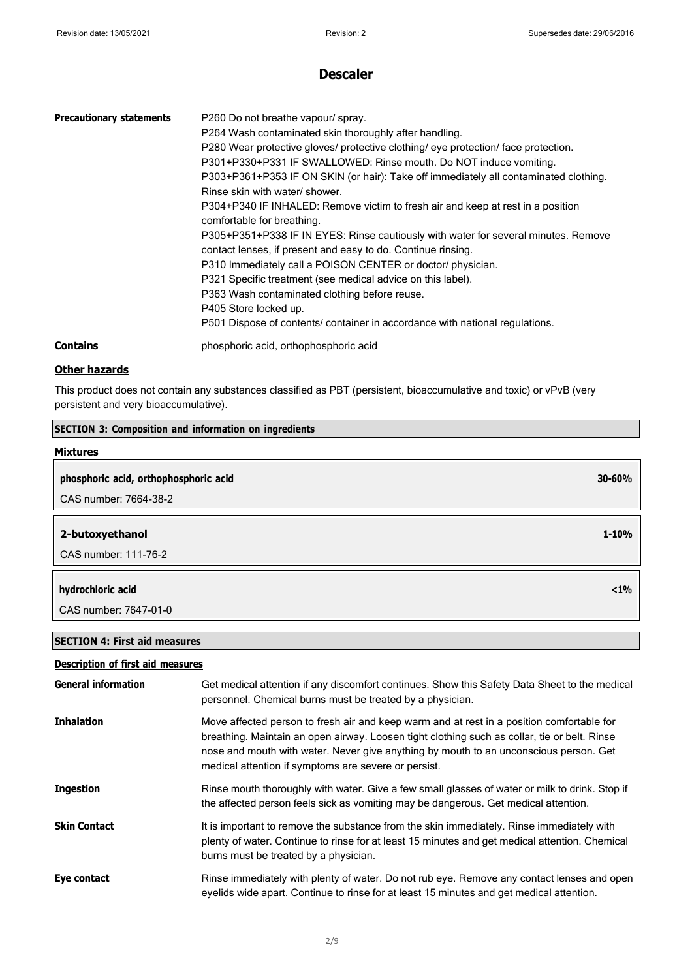| <b>Precautionary statements</b> | P260 Do not breathe vapour/ spray.<br>P264 Wash contaminated skin thoroughly after handling.<br>P280 Wear protective gloves/ protective clothing/ eye protection/ face protection.<br>P301+P330+P331 IF SWALLOWED: Rinse mouth. Do NOT induce vomiting.<br>P303+P361+P353 IF ON SKIN (or hair): Take off immediately all contaminated clothing.<br>Rinse skin with water/ shower.<br>P304+P340 IF INHALED: Remove victim to fresh air and keep at rest in a position<br>comfortable for breathing.<br>P305+P351+P338 IF IN EYES: Rinse cautiously with water for several minutes. Remove<br>contact lenses, if present and easy to do. Continue rinsing.<br>P310 Immediately call a POISON CENTER or doctor/physician.<br>P321 Specific treatment (see medical advice on this label).<br>P363 Wash contaminated clothing before reuse.<br>P405 Store locked up.<br>P501 Dispose of contents/ container in accordance with national regulations. |
|---------------------------------|-------------------------------------------------------------------------------------------------------------------------------------------------------------------------------------------------------------------------------------------------------------------------------------------------------------------------------------------------------------------------------------------------------------------------------------------------------------------------------------------------------------------------------------------------------------------------------------------------------------------------------------------------------------------------------------------------------------------------------------------------------------------------------------------------------------------------------------------------------------------------------------------------------------------------------------------------|
| <b>Contains</b>                 | phosphoric acid, orthophosphoric acid                                                                                                                                                                                                                                                                                                                                                                                                                                                                                                                                                                                                                                                                                                                                                                                                                                                                                                           |

### **Other hazards**

This product does not contain any substances classified as PBT (persistent, bioaccumulative and toxic) or vPvB (very persistent and very bioaccumulative).

### **SECTION 3: Composition and information on ingredients**

| <b>Mixtures</b>                       |            |
|---------------------------------------|------------|
| phosphoric acid, orthophosphoric acid | $30 - 60%$ |
| CAS number: 7664-38-2                 |            |
|                                       |            |
| 2-butoxyethanol                       | $1 - 10%$  |
| CAS number: 111-76-2                  |            |
|                                       |            |
| hydrochloric acid                     | $< 1\%$    |
| CAS number: 7647-01-0                 |            |

### **SECTION 4: First aid measures**

### **Description of first aid measures**

| <b>General information</b> | Get medical attention if any discomfort continues. Show this Safety Data Sheet to the medical<br>personnel. Chemical burns must be treated by a physician.                                                                                                                                                                                 |
|----------------------------|--------------------------------------------------------------------------------------------------------------------------------------------------------------------------------------------------------------------------------------------------------------------------------------------------------------------------------------------|
| <b>Inhalation</b>          | Move affected person to fresh air and keep warm and at rest in a position comfortable for<br>breathing. Maintain an open airway. Loosen tight clothing such as collar, tie or belt. Rinse<br>nose and mouth with water. Never give anything by mouth to an unconscious person. Get<br>medical attention if symptoms are severe or persist. |
| <b>Ingestion</b>           | Rinse mouth thoroughly with water. Give a few small glasses of water or milk to drink. Stop if<br>the affected person feels sick as vomiting may be dangerous. Get medical attention.                                                                                                                                                      |
| <b>Skin Contact</b>        | It is important to remove the substance from the skin immediately. Rinse immediately with<br>plenty of water. Continue to rinse for at least 15 minutes and get medical attention. Chemical<br>burns must be treated by a physician.                                                                                                       |
| Eye contact                | Rinse immediately with plenty of water. Do not rub eye. Remove any contact lenses and open<br>eyelids wide apart. Continue to rinse for at least 15 minutes and get medical attention.                                                                                                                                                     |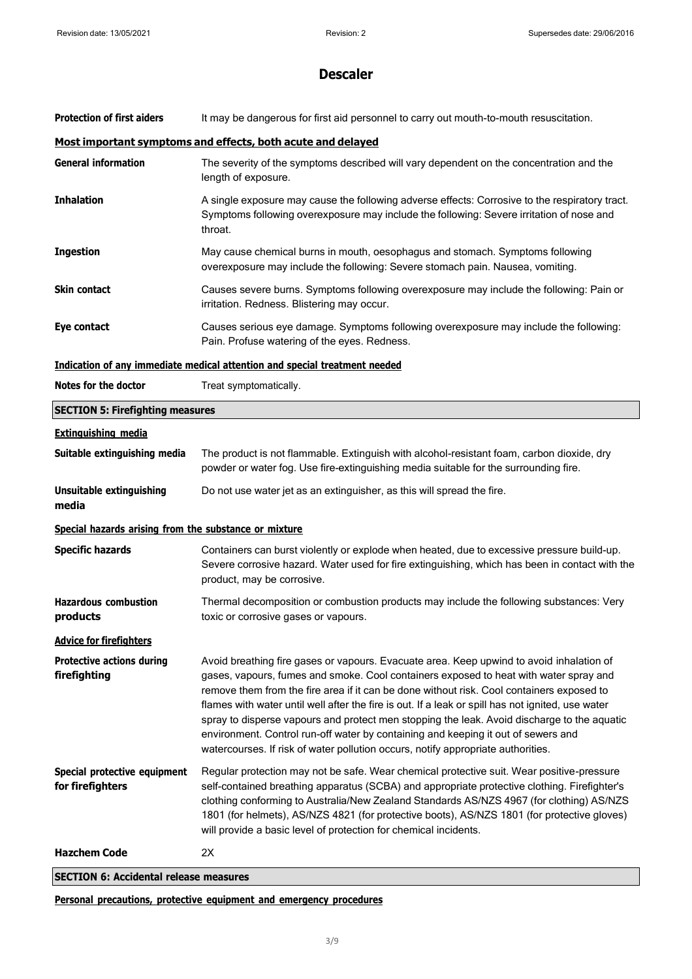| <b>Protection of first aiders</b>                     | It may be dangerous for first aid personnel to carry out mouth-to-mouth resuscitation.                                                                                                                                                                                                                                                                                                                                                                                                                                                                                                                                                                      |  |  |
|-------------------------------------------------------|-------------------------------------------------------------------------------------------------------------------------------------------------------------------------------------------------------------------------------------------------------------------------------------------------------------------------------------------------------------------------------------------------------------------------------------------------------------------------------------------------------------------------------------------------------------------------------------------------------------------------------------------------------------|--|--|
|                                                       | Most important symptoms and effects, both acute and delayed                                                                                                                                                                                                                                                                                                                                                                                                                                                                                                                                                                                                 |  |  |
| <b>General information</b>                            | The severity of the symptoms described will vary dependent on the concentration and the<br>length of exposure.                                                                                                                                                                                                                                                                                                                                                                                                                                                                                                                                              |  |  |
| <b>Inhalation</b>                                     | A single exposure may cause the following adverse effects: Corrosive to the respiratory tract.<br>Symptoms following overexposure may include the following: Severe irritation of nose and<br>throat.                                                                                                                                                                                                                                                                                                                                                                                                                                                       |  |  |
| <b>Ingestion</b>                                      | May cause chemical burns in mouth, oesophagus and stomach. Symptoms following<br>overexposure may include the following: Severe stomach pain. Nausea, vomiting.                                                                                                                                                                                                                                                                                                                                                                                                                                                                                             |  |  |
| Skin contact                                          | Causes severe burns. Symptoms following overexposure may include the following: Pain or<br>irritation. Redness. Blistering may occur.                                                                                                                                                                                                                                                                                                                                                                                                                                                                                                                       |  |  |
| Eye contact                                           | Causes serious eye damage. Symptoms following overexposure may include the following:<br>Pain. Profuse watering of the eyes. Redness.                                                                                                                                                                                                                                                                                                                                                                                                                                                                                                                       |  |  |
|                                                       | Indication of any immediate medical attention and special treatment needed                                                                                                                                                                                                                                                                                                                                                                                                                                                                                                                                                                                  |  |  |
| Notes for the doctor                                  | Treat symptomatically.                                                                                                                                                                                                                                                                                                                                                                                                                                                                                                                                                                                                                                      |  |  |
| <b>SECTION 5: Firefighting measures</b>               |                                                                                                                                                                                                                                                                                                                                                                                                                                                                                                                                                                                                                                                             |  |  |
| <b>Extinguishing media</b>                            |                                                                                                                                                                                                                                                                                                                                                                                                                                                                                                                                                                                                                                                             |  |  |
| Suitable extinguishing media                          | The product is not flammable. Extinguish with alcohol-resistant foam, carbon dioxide, dry<br>powder or water fog. Use fire-extinguishing media suitable for the surrounding fire.                                                                                                                                                                                                                                                                                                                                                                                                                                                                           |  |  |
| Unsuitable extinguishing<br>media                     | Do not use water jet as an extinguisher, as this will spread the fire.                                                                                                                                                                                                                                                                                                                                                                                                                                                                                                                                                                                      |  |  |
| Special hazards arising from the substance or mixture |                                                                                                                                                                                                                                                                                                                                                                                                                                                                                                                                                                                                                                                             |  |  |
| <b>Specific hazards</b>                               | Containers can burst violently or explode when heated, due to excessive pressure build-up.<br>Severe corrosive hazard. Water used for fire extinguishing, which has been in contact with the<br>product, may be corrosive.                                                                                                                                                                                                                                                                                                                                                                                                                                  |  |  |
| <b>Hazardous combustion</b><br>products               | Thermal decomposition or combustion products may include the following substances: Very<br>toxic or corrosive gases or vapours.                                                                                                                                                                                                                                                                                                                                                                                                                                                                                                                             |  |  |
| <b>Advice for firefighters</b>                        |                                                                                                                                                                                                                                                                                                                                                                                                                                                                                                                                                                                                                                                             |  |  |
| <b>Protective actions during</b><br>firefighting      | Avoid breathing fire gases or vapours. Evacuate area. Keep upwind to avoid inhalation of<br>gases, vapours, fumes and smoke. Cool containers exposed to heat with water spray and<br>remove them from the fire area if it can be done without risk. Cool containers exposed to<br>flames with water until well after the fire is out. If a leak or spill has not ignited, use water<br>spray to disperse vapours and protect men stopping the leak. Avoid discharge to the aquatic<br>environment. Control run-off water by containing and keeping it out of sewers and<br>watercourses. If risk of water pollution occurs, notify appropriate authorities. |  |  |
| Special protective equipment<br>for firefighters      | Regular protection may not be safe. Wear chemical protective suit. Wear positive-pressure<br>self-contained breathing apparatus (SCBA) and appropriate protective clothing. Firefighter's<br>clothing conforming to Australia/New Zealand Standards AS/NZS 4967 (for clothing) AS/NZS<br>1801 (for helmets), AS/NZS 4821 (for protective boots), AS/NZS 1801 (for protective gloves)<br>will provide a basic level of protection for chemical incidents.                                                                                                                                                                                                    |  |  |
| <b>Hazchem Code</b>                                   | 2X                                                                                                                                                                                                                                                                                                                                                                                                                                                                                                                                                                                                                                                          |  |  |
|                                                       |                                                                                                                                                                                                                                                                                                                                                                                                                                                                                                                                                                                                                                                             |  |  |

**SECTION 6: Accidental release measures**

**Personal precautions, protective equipment and emergency procedures**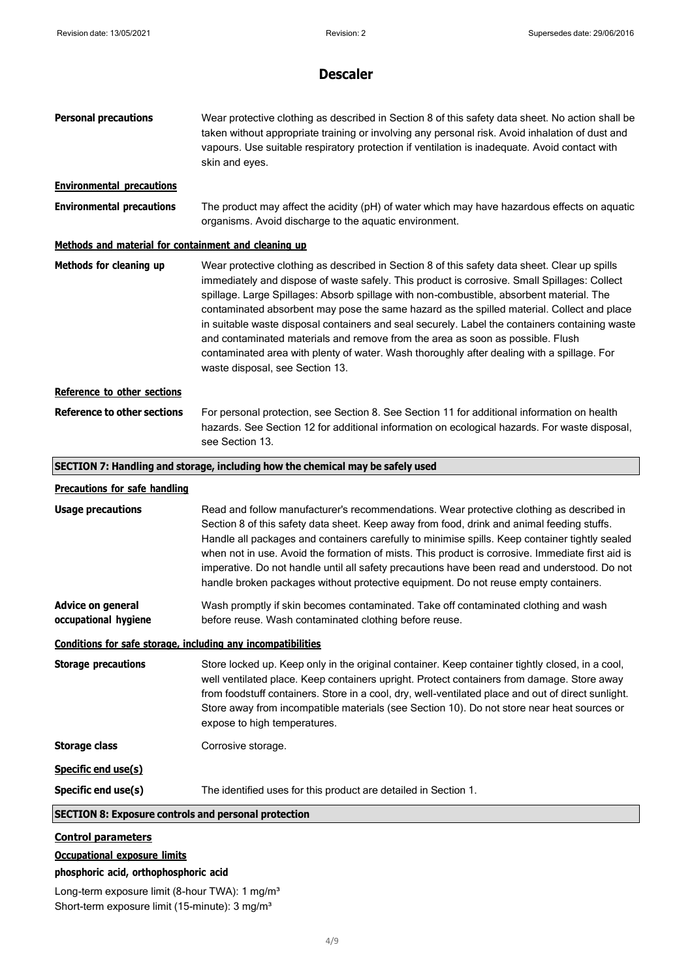| <b>Personal precautions</b>                                  | Wear protective clothing as described in Section 8 of this safety data sheet. No action shall be<br>taken without appropriate training or involving any personal risk. Avoid inhalation of dust and<br>vapours. Use suitable respiratory protection if ventilation is inadequate. Avoid contact with<br>skin and eyes.                                                                                                                                                                                                                                                                                                                                                                                       |
|--------------------------------------------------------------|--------------------------------------------------------------------------------------------------------------------------------------------------------------------------------------------------------------------------------------------------------------------------------------------------------------------------------------------------------------------------------------------------------------------------------------------------------------------------------------------------------------------------------------------------------------------------------------------------------------------------------------------------------------------------------------------------------------|
| <b>Environmental precautions</b>                             |                                                                                                                                                                                                                                                                                                                                                                                                                                                                                                                                                                                                                                                                                                              |
| <b>Environmental precautions</b>                             | The product may affect the acidity (pH) of water which may have hazardous effects on aquatic<br>organisms. Avoid discharge to the aquatic environment.                                                                                                                                                                                                                                                                                                                                                                                                                                                                                                                                                       |
| Methods and material for containment and cleaning up         |                                                                                                                                                                                                                                                                                                                                                                                                                                                                                                                                                                                                                                                                                                              |
| Methods for cleaning up                                      | Wear protective clothing as described in Section 8 of this safety data sheet. Clear up spills<br>immediately and dispose of waste safely. This product is corrosive. Small Spillages: Collect<br>spillage. Large Spillages: Absorb spillage with non-combustible, absorbent material. The<br>contaminated absorbent may pose the same hazard as the spilled material. Collect and place<br>in suitable waste disposal containers and seal securely. Label the containers containing waste<br>and contaminated materials and remove from the area as soon as possible. Flush<br>contaminated area with plenty of water. Wash thoroughly after dealing with a spillage. For<br>waste disposal, see Section 13. |
| Reference to other sections                                  |                                                                                                                                                                                                                                                                                                                                                                                                                                                                                                                                                                                                                                                                                                              |
| <b>Reference to other sections</b>                           | For personal protection, see Section 8. See Section 11 for additional information on health<br>hazards. See Section 12 for additional information on ecological hazards. For waste disposal,<br>see Section 13.                                                                                                                                                                                                                                                                                                                                                                                                                                                                                              |
|                                                              | SECTION 7: Handling and storage, including how the chemical may be safely used                                                                                                                                                                                                                                                                                                                                                                                                                                                                                                                                                                                                                               |
| <b>Precautions for safe handling</b>                         |                                                                                                                                                                                                                                                                                                                                                                                                                                                                                                                                                                                                                                                                                                              |
| <b>Usage precautions</b>                                     | Read and follow manufacturer's recommendations. Wear protective clothing as described in<br>Section 8 of this safety data sheet. Keep away from food, drink and animal feeding stuffs.<br>Handle all packages and containers carefully to minimise spills. Keep container tightly sealed<br>when not in use. Avoid the formation of mists. This product is corrosive. Immediate first aid is<br>imperative. Do not handle until all safety precautions have been read and understood. Do not<br>handle broken packages without protective equipment. Do not reuse empty containers.                                                                                                                          |
| <b>Advice on general</b><br>occupational hygiene             | Wash promptly if skin becomes contaminated. Take off contaminated clothing and wash<br>before reuse. Wash contaminated clothing before reuse.                                                                                                                                                                                                                                                                                                                                                                                                                                                                                                                                                                |
| Conditions for safe storage, including any incompatibilities |                                                                                                                                                                                                                                                                                                                                                                                                                                                                                                                                                                                                                                                                                                              |
| <b>Storage precautions</b>                                   | Store locked up. Keep only in the original container. Keep container tightly closed, in a cool,<br>well ventilated place. Keep containers upright. Protect containers from damage. Store away<br>from foodstuff containers. Store in a cool, dry, well-ventilated place and out of direct sunlight.<br>Store away from incompatible materials (see Section 10). Do not store near heat sources or<br>expose to high temperatures.                                                                                                                                                                                                                                                                            |
| <b>Storage class</b>                                         | Corrosive storage.                                                                                                                                                                                                                                                                                                                                                                                                                                                                                                                                                                                                                                                                                           |
| Specific end use(s)                                          |                                                                                                                                                                                                                                                                                                                                                                                                                                                                                                                                                                                                                                                                                                              |
| Specific end use(s)                                          | The identified uses for this product are detailed in Section 1.                                                                                                                                                                                                                                                                                                                                                                                                                                                                                                                                                                                                                                              |
| <b>SECTION 8: Exposure controls and personal protection</b>  |                                                                                                                                                                                                                                                                                                                                                                                                                                                                                                                                                                                                                                                                                                              |
| <b>Control parameters</b>                                    |                                                                                                                                                                                                                                                                                                                                                                                                                                                                                                                                                                                                                                                                                                              |

## **Occupational exposure limits**

### **phosphoric acid, orthophosphoric acid**

Long-term exposure limit (8-hour TWA): 1 mg/m<sup>3</sup> Short-term exposure limit (15-minute): 3 mg/m<sup>3</sup>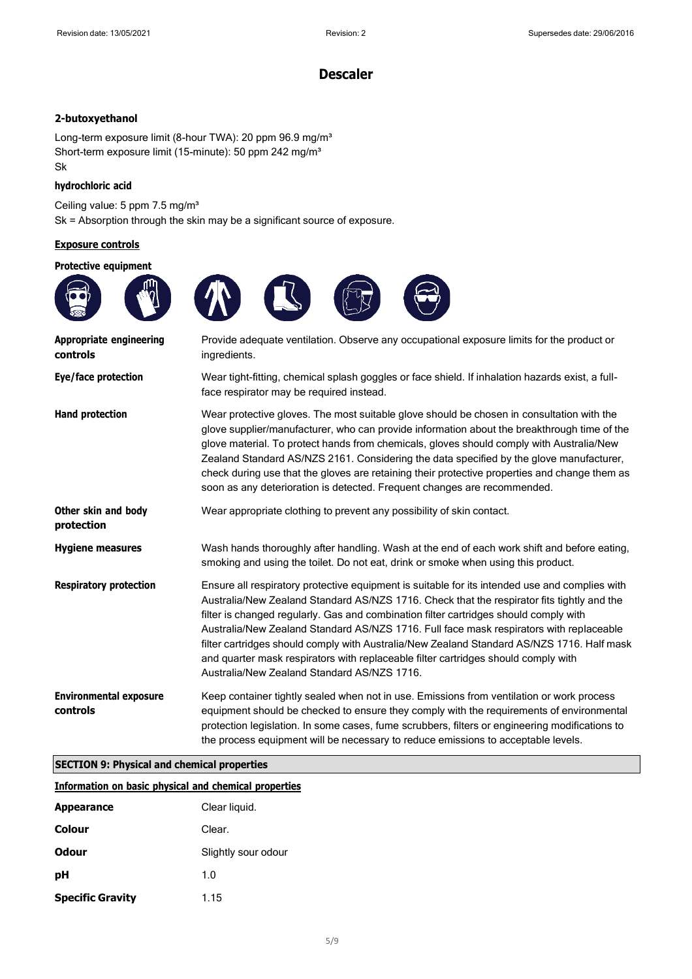### **2-butoxyethanol**

Long-term exposure limit (8-hour TWA): 20 ppm 96.9 mg/m<sup>3</sup> Short-term exposure limit (15-minute): 50 ppm 242 mg/m<sup>3</sup> Sk

#### **hydrochloric acid**

Ceiling value: 5 ppm 7.5 mg/m<sup>3</sup> Sk = Absorption through the skin may be a significant source of exposure.

#### **Exposure controls**

#### **Protective equipment**



| which distributed the whole<br>controls   | Flovide adequate verification. Observe any occupational exposure immission the product of<br>ingredients.                                                                                                                                                                                                                                                                                                                                                                                                                                                                                                           |
|-------------------------------------------|---------------------------------------------------------------------------------------------------------------------------------------------------------------------------------------------------------------------------------------------------------------------------------------------------------------------------------------------------------------------------------------------------------------------------------------------------------------------------------------------------------------------------------------------------------------------------------------------------------------------|
| Eye/face protection                       | Wear tight-fitting, chemical splash goggles or face shield. If inhalation hazards exist, a full-<br>face respirator may be required instead.                                                                                                                                                                                                                                                                                                                                                                                                                                                                        |
| Hand protection                           | Wear protective gloves. The most suitable glove should be chosen in consultation with the<br>glove supplier/manufacturer, who can provide information about the breakthrough time of the<br>glove material. To protect hands from chemicals, gloves should comply with Australia/New<br>Zealand Standard AS/NZS 2161. Considering the data specified by the glove manufacturer,<br>check during use that the gloves are retaining their protective properties and change them as<br>soon as any deterioration is detected. Frequent changes are recommended.                                                        |
| Other skin and body<br>protection         | Wear appropriate clothing to prevent any possibility of skin contact.                                                                                                                                                                                                                                                                                                                                                                                                                                                                                                                                               |
| <b>Hygiene measures</b>                   | Wash hands thoroughly after handling. Wash at the end of each work shift and before eating,<br>smoking and using the toilet. Do not eat, drink or smoke when using this product.                                                                                                                                                                                                                                                                                                                                                                                                                                    |
| <b>Respiratory protection</b>             | Ensure all respiratory protective equipment is suitable for its intended use and complies with<br>Australia/New Zealand Standard AS/NZS 1716. Check that the respirator fits tightly and the<br>filter is changed regularly. Gas and combination filter cartridges should comply with<br>Australia/New Zealand Standard AS/NZS 1716. Full face mask respirators with replaceable<br>filter cartridges should comply with Australia/New Zealand Standard AS/NZS 1716. Half mask<br>and quarter mask respirators with replaceable filter cartridges should comply with<br>Australia/New Zealand Standard AS/NZS 1716. |
| <b>Environmental exposure</b><br>controls | Keep container tightly sealed when not in use. Emissions from ventilation or work process<br>equipment should be checked to ensure they comply with the requirements of environmental<br>protection legislation. In some cases, fume scrubbers, filters or engineering modifications to<br>the process equipment will be necessary to reduce emissions to acceptable levels.                                                                                                                                                                                                                                        |

### **SECTION 9: Physical and chemical properties**

|                         | <b>Information on basic physical and chemical properties</b> |
|-------------------------|--------------------------------------------------------------|
| <b>Appearance</b>       | Clear liquid.                                                |
| Colour                  | Clear.                                                       |
| <b>Odour</b>            | Slightly sour odour                                          |
| рH                      | 1.0                                                          |
| <b>Specific Gravity</b> | 1.15                                                         |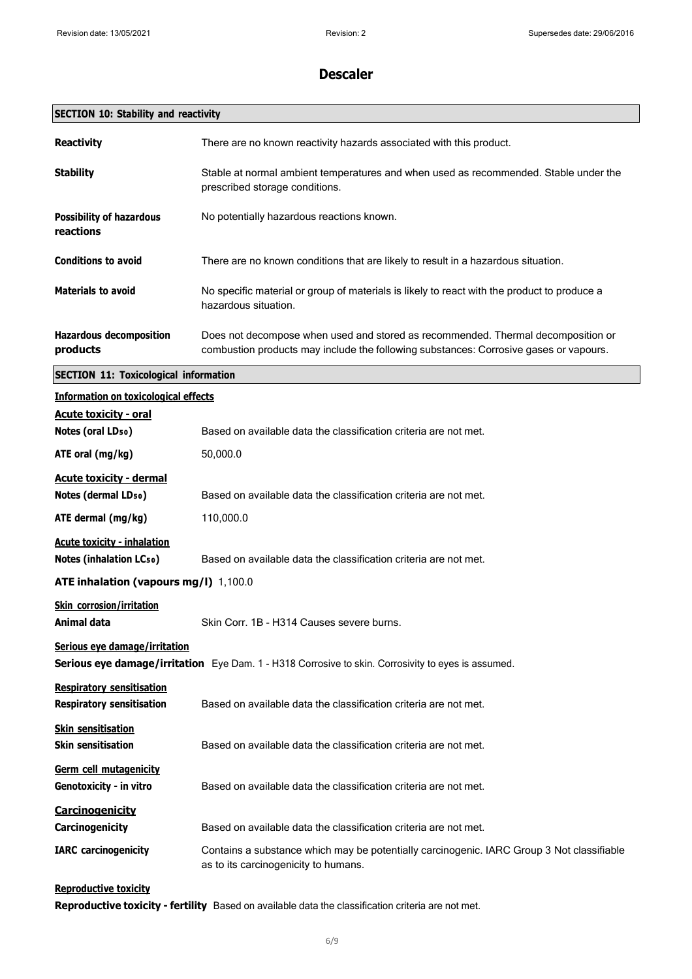| <b>SECTION 10: Stability and reactivity</b>                                                                                         |                                                                                                                                                                           |  |
|-------------------------------------------------------------------------------------------------------------------------------------|---------------------------------------------------------------------------------------------------------------------------------------------------------------------------|--|
| <b>Reactivity</b>                                                                                                                   | There are no known reactivity hazards associated with this product.                                                                                                       |  |
| <b>Stability</b>                                                                                                                    | Stable at normal ambient temperatures and when used as recommended. Stable under the<br>prescribed storage conditions.                                                    |  |
| <b>Possibility of hazardous</b><br>reactions                                                                                        | No potentially hazardous reactions known.                                                                                                                                 |  |
| <b>Conditions to avoid</b>                                                                                                          | There are no known conditions that are likely to result in a hazardous situation.                                                                                         |  |
| <b>Materials to avoid</b>                                                                                                           | No specific material or group of materials is likely to react with the product to produce a<br>hazardous situation.                                                       |  |
| <b>Hazardous decomposition</b><br>products                                                                                          | Does not decompose when used and stored as recommended. Thermal decomposition or<br>combustion products may include the following substances: Corrosive gases or vapours. |  |
| <b>SECTION 11: Toxicological information</b>                                                                                        |                                                                                                                                                                           |  |
| <b>Information on toxicological effects</b>                                                                                         |                                                                                                                                                                           |  |
| <b>Acute toxicity - oral</b><br>Notes (oral LD <sub>50</sub> )                                                                      | Based on available data the classification criteria are not met.                                                                                                          |  |
| ATE oral (mg/kg)                                                                                                                    | 50,000.0                                                                                                                                                                  |  |
| <b>Acute toxicity - dermal</b><br>Notes (dermal LD <sub>50</sub> )                                                                  | Based on available data the classification criteria are not met.                                                                                                          |  |
| ATE dermal (mg/kg)                                                                                                                  | 110,000.0                                                                                                                                                                 |  |
| <b>Acute toxicity - inhalation</b><br><b>Notes (inhalation LCso)</b>                                                                | Based on available data the classification criteria are not met.                                                                                                          |  |
| ATE inhalation (vapours mg/l) 1,100.0                                                                                               |                                                                                                                                                                           |  |
| Skin corrosion/irritation<br>Animal data                                                                                            | Skin Corr. 1B - H314 Causes severe burns.                                                                                                                                 |  |
| Serious eye damage/irritation<br>Serious eye damage/irritation Eye Dam. 1 - H318 Corrosive to skin. Corrosivity to eyes is assumed. |                                                                                                                                                                           |  |
| <b>Respiratory sensitisation</b><br><b>Respiratory sensitisation</b>                                                                | Based on available data the classification criteria are not met.                                                                                                          |  |
| <b>Skin sensitisation</b><br><b>Skin sensitisation</b>                                                                              | Based on available data the classification criteria are not met.                                                                                                          |  |
| Germ cell mutagenicity<br>Genotoxicity - in vitro                                                                                   | Based on available data the classification criteria are not met.                                                                                                          |  |
| <b>Carcinogenicity</b><br>Carcinogenicity                                                                                           | Based on available data the classification criteria are not met.                                                                                                          |  |
| <b>IARC</b> carcinogenicity                                                                                                         | Contains a substance which may be potentially carcinogenic. IARC Group 3 Not classifiable<br>as to its carcinogenicity to humans.                                         |  |
|                                                                                                                                     |                                                                                                                                                                           |  |

**Reproductive toxicity**

**Reproductive toxicity - fertility** Based on available data the classification criteria are not met.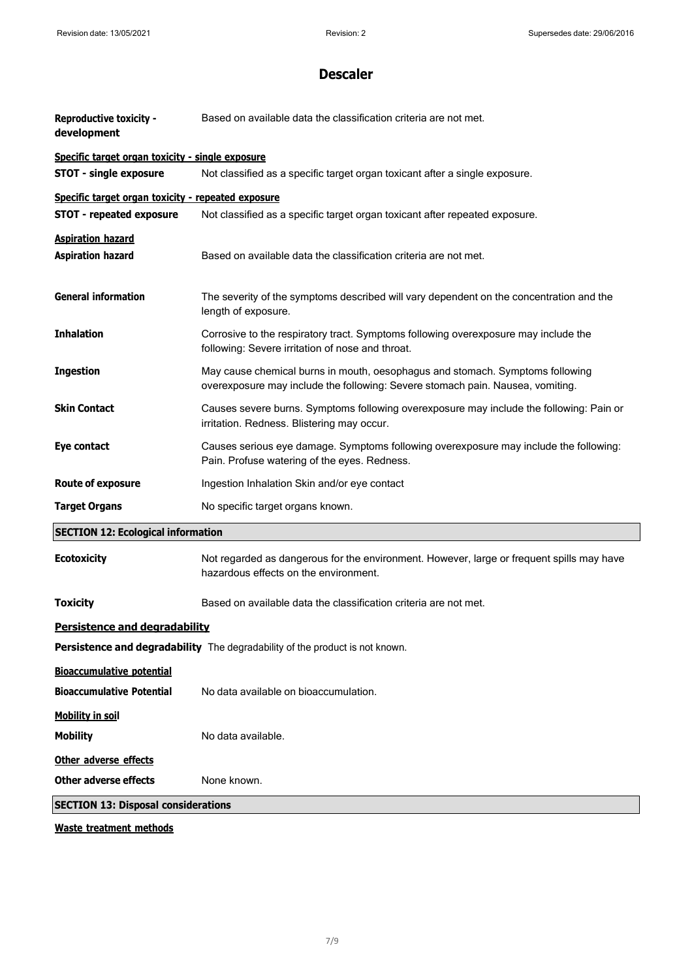| <b>Reproductive toxicity -</b><br>development        | Based on available data the classification criteria are not met.                                                                                                |  |
|------------------------------------------------------|-----------------------------------------------------------------------------------------------------------------------------------------------------------------|--|
| Specific target organ toxicity - single exposure     |                                                                                                                                                                 |  |
| <b>STOT - single exposure</b>                        | Not classified as a specific target organ toxicant after a single exposure.                                                                                     |  |
| Specific target organ toxicity - repeated exposure   |                                                                                                                                                                 |  |
| <b>STOT - repeated exposure</b>                      | Not classified as a specific target organ toxicant after repeated exposure.                                                                                     |  |
| <b>Aspiration hazard</b><br><b>Aspiration hazard</b> | Based on available data the classification criteria are not met.                                                                                                |  |
| <b>General information</b>                           | The severity of the symptoms described will vary dependent on the concentration and the<br>length of exposure.                                                  |  |
| <b>Inhalation</b>                                    | Corrosive to the respiratory tract. Symptoms following overexposure may include the<br>following: Severe irritation of nose and throat.                         |  |
| <b>Ingestion</b>                                     | May cause chemical burns in mouth, oesophagus and stomach. Symptoms following<br>overexposure may include the following: Severe stomach pain. Nausea, vomiting. |  |
| <b>Skin Contact</b>                                  | Causes severe burns. Symptoms following overexposure may include the following: Pain or<br>irritation. Redness. Blistering may occur.                           |  |
| Eye contact                                          | Causes serious eye damage. Symptoms following overexposure may include the following:<br>Pain. Profuse watering of the eyes. Redness.                           |  |
| <b>Route of exposure</b>                             | Ingestion Inhalation Skin and/or eye contact                                                                                                                    |  |
| <b>Target Organs</b>                                 | No specific target organs known.                                                                                                                                |  |
| <b>SECTION 12: Ecological information</b>            |                                                                                                                                                                 |  |
| <b>Ecotoxicity</b>                                   | Not regarded as dangerous for the environment. However, large or frequent spills may have<br>hazardous effects on the environment.                              |  |
| <b>Toxicity</b>                                      | Based on available data the classification criteria are not met.                                                                                                |  |
| <b>Persistence and degradability</b>                 |                                                                                                                                                                 |  |
|                                                      | <b>Persistence and degradability</b> The degradability of the product is not known.                                                                             |  |
| <b>Bioaccumulative potential</b>                     |                                                                                                                                                                 |  |
| <b>Bioaccumulative Potential</b>                     | No data available on bioaccumulation.                                                                                                                           |  |
| <b>Mobility in soil</b>                              |                                                                                                                                                                 |  |
| <b>Mobility</b>                                      | No data available.                                                                                                                                              |  |
| Other adverse effects                                |                                                                                                                                                                 |  |
| <b>Other adverse effects</b>                         | None known.                                                                                                                                                     |  |
| <b>SECTION 13: Disposal considerations</b>           |                                                                                                                                                                 |  |
|                                                      |                                                                                                                                                                 |  |

**Waste treatment methods**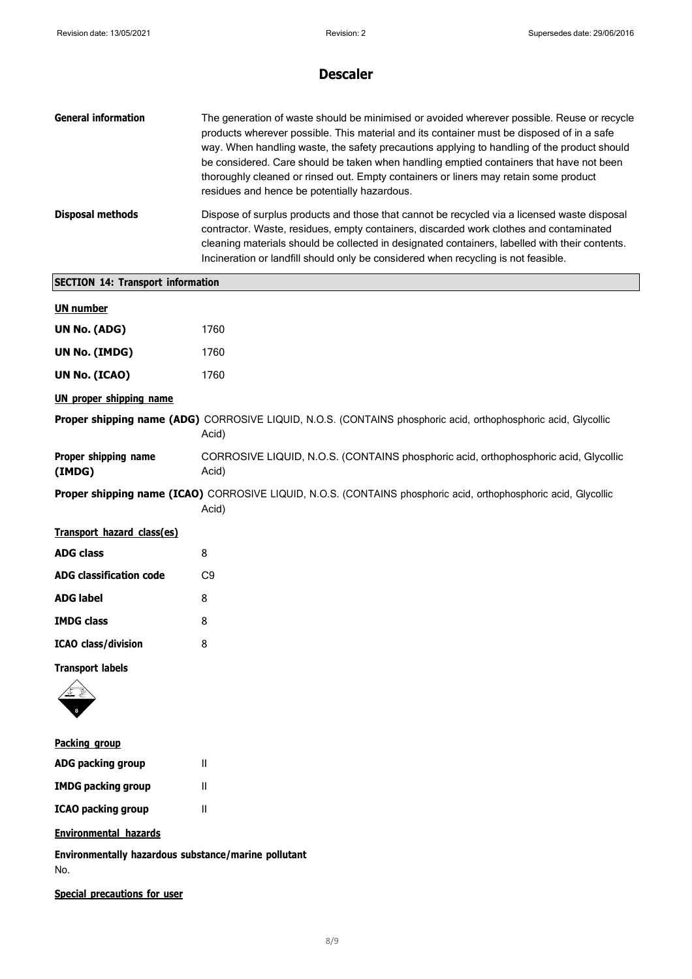| <b>General information</b> | The generation of waste should be minimised or avoided wherever possible. Reuse or recycle<br>products wherever possible. This material and its container must be disposed of in a safe<br>way. When handling waste, the safety precautions applying to handling of the product should<br>be considered. Care should be taken when handling emptied containers that have not been<br>thoroughly cleaned or rinsed out. Empty containers or liners may retain some product<br>residues and hence be potentially hazardous. |
|----------------------------|---------------------------------------------------------------------------------------------------------------------------------------------------------------------------------------------------------------------------------------------------------------------------------------------------------------------------------------------------------------------------------------------------------------------------------------------------------------------------------------------------------------------------|
| Disposal methods           | Dispose of surplus products and those that cannot be recycled via a licensed waste disposal<br>contractor. Waste, residues, empty containers, discarded work clothes and contaminated<br>cleaning materials should be collected in designated containers, labelled with their contents.<br>Incineration or landfill should only be considered when recycling is not feasible.                                                                                                                                             |

| <b>SECTION 14: Transport information</b> |                                                                                                                          |  |
|------------------------------------------|--------------------------------------------------------------------------------------------------------------------------|--|
| <b>UN number</b>                         |                                                                                                                          |  |
| UN No. (ADG)                             | 1760                                                                                                                     |  |
| <b>UN No. (IMDG)</b>                     | 1760                                                                                                                     |  |
| UN No. (ICAO)                            | 1760                                                                                                                     |  |
| <b>UN proper shipping name</b>           |                                                                                                                          |  |
|                                          | Proper shipping name (ADG) CORROSIVE LIQUID, N.O.S. (CONTAINS phosphoric acid, orthophosphoric acid, Glycollic<br>Acid)  |  |
| Proper shipping name<br>(IMDG)           | CORROSIVE LIQUID, N.O.S. (CONTAINS phosphoric acid, orthophosphoric acid, Glycollic<br>Acid)                             |  |
|                                          | Proper shipping name (ICAO) CORROSIVE LIQUID, N.O.S. (CONTAINS phosphoric acid, orthophosphoric acid, Glycollic<br>Acid) |  |
| Transport hazard class(es)               |                                                                                                                          |  |
| <b>ADG class</b>                         | 8                                                                                                                        |  |
| <b>ADG classification code</b>           | C <sub>9</sub>                                                                                                           |  |
| <b>ADG label</b>                         | 8                                                                                                                        |  |
| <b>IMDG class</b>                        | 8                                                                                                                        |  |
| <b>ICAO</b> class/division               | 8                                                                                                                        |  |
| <b>Transport labels</b>                  |                                                                                                                          |  |
|                                          |                                                                                                                          |  |

| <b>Packing group</b>      |   |
|---------------------------|---|
| ADG packing group         | Ш |
| <b>IMDG packing group</b> | Ш |
| <b>ICAO packing group</b> | Ш |

### **Environmental hazards**

**Environmentally hazardous substance/marine pollutant** No.

**Special precautions for user**